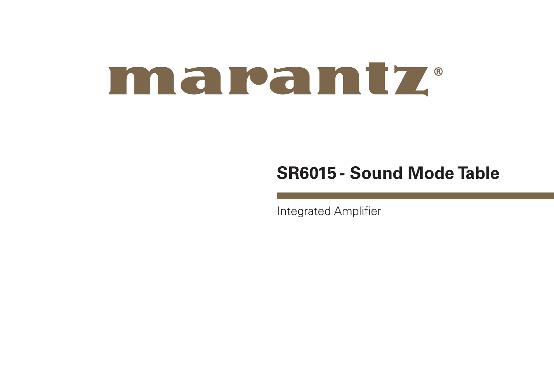# maramtz.

## **SR6015 - Sound Mode Table**

Integrated Amplifier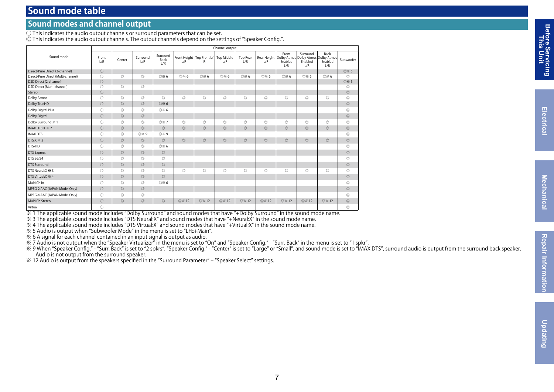### **Sound mode table**

#### **Sound modes and channel output**

 $\overline{\bigcirc}$  This indicates the audio output channels or surround parameters that can be set.

◎ This indicates the audio output channels. The output channels depend on the settings of "Speaker Config.".

|                                    | Channel output |                |                 |                         |                |                                |                          |                        |                |                         |                                                                               |                               |                |
|------------------------------------|----------------|----------------|-----------------|-------------------------|----------------|--------------------------------|--------------------------|------------------------|----------------|-------------------------|-------------------------------------------------------------------------------|-------------------------------|----------------|
| Sound mode                         | Front<br>1/R   | Center         | Surround<br>1/R | Surround<br>Back<br>L/R | 1/R            | Front Height Top Front L/<br>R | <b>Top Middle</b><br>1/R | <b>Top Rear</b><br>1/R | 1/R            | Front<br>Enabled<br>L/R | Surround<br>Rear Height Dolby Atmos Dolby Atmos Dolby Atmos<br>Enabled<br>1/R | <b>Back</b><br>Enabled<br>L/R | Subwoofer      |
| Direct/Pure Direct (2-channel)     | $\bigcirc$     |                |                 |                         |                |                                |                          |                        |                |                         |                                                                               |                               | ◎※5            |
| Direct/Pure Direct (Multi-channel) | $\bigcirc$     | $\circledcirc$ | $\circledcirc$  | <b>O</b> * 6            | ◎※6            | ◎※6                            | ◎※6                      | ◎※6                    | ◎※6            | ◎※6                     | O <sub>*6</sub>                                                               | ◎※6                           | $\circledcirc$ |
| DSD Direct (2-channel)             | $\circ$        |                |                 |                         |                |                                |                          |                        |                |                         |                                                                               |                               | ◎※5            |
| DSD Direct (Multi-channel)         | $\bigcirc$     | $\circledcirc$ | $\circledcirc$  |                         |                |                                |                          |                        |                |                         |                                                                               |                               | $\circledcirc$ |
| Stereo                             | $\circ$        |                |                 |                         |                |                                |                          |                        |                |                         |                                                                               |                               | $\circledcirc$ |
| Dolby Atmos                        | $\bigcirc$     | $\circ$        | $\circledcirc$  | $\circledcirc$          | $\circledcirc$ | $\circledcirc$                 | $\circ$                  | $\circledcirc$         | $\circledcirc$ | $\circledcirc$          | $\circledcirc$                                                                | $\circledcirc$                | $\circ$        |
| Dolby TrueHD                       | $\bigcirc$     | $\circ$        | $\circledcirc$  | ◎※6                     |                |                                |                          |                        |                |                         |                                                                               |                               | $\circledcirc$ |
| Dolby Digital Plus                 | $\bigcirc$     | $\circledcirc$ | $\circledcirc$  | ◎※6                     |                |                                |                          |                        |                |                         |                                                                               |                               | $\circ$        |
| Dolby Digital                      | $\circ$        | $\circ$        | $\circledcirc$  |                         |                |                                |                          |                        |                |                         |                                                                               |                               | $\circledcirc$ |
| Dolby Surround * 1                 | $\bigcirc$     | $\circledcirc$ | $\circledcirc$  | ◎※7                     | $\circledcirc$ | $\circledcirc$                 | $\circ$                  | $\circledcirc$         | $\circledcirc$ | $\circledcirc$          | $\circ$                                                                       | $\circledcirc$                | $\circ$        |
| IMAX DTS:X * 2                     | $\bigcirc$     | $\circ$        | $\circledcirc$  | $\odot$                 | $\circledcirc$ | $\circledcirc$                 | $\circ$                  | $\circledcirc$         | $\circledcirc$ | $\circledcirc$          | $\circledcirc$                                                                | $\circledcirc$                | $\circledcirc$ |
| <b>IMAX DTS</b>                    | $\bigcirc$     | $\circledcirc$ | ◎※9             | ◎※9                     |                |                                |                          |                        |                |                         |                                                                               |                               | $\circ$        |
| DTS: $X \times 2$                  | $\circ$        | $\circ$        | $\circledcirc$  | $\odot$                 | $\circledcirc$ | $\circledcirc$                 | $\circ$                  | $\circledcirc$         | $\circledcirc$ | $\circledcirc$          | $\circledcirc$                                                                | $\circledcirc$                | $\circledcirc$ |
| DTS-HD                             | 0              | $\circledcirc$ | $\circledcirc$  | ◎※6                     |                |                                |                          |                        |                |                         |                                                                               |                               | $\circledcirc$ |
| <b>DTS Express</b>                 | $\bigcirc$     | $\circ$        | $\circledcirc$  | $\circledcirc$          |                |                                |                          |                        |                |                         |                                                                               |                               | $\circledcirc$ |
| DTS 96/24                          | 0              | $\circ$        | $\circledcirc$  | $\circledcirc$          |                |                                |                          |                        |                |                         |                                                                               |                               | $\circledcirc$ |
| <b>DTS Surround</b>                | $\circ$        | $\circ$        | $\circledcirc$  | $\circledcirc$          |                |                                |                          |                        |                |                         |                                                                               |                               | $\circledcirc$ |
| DTS Neural:X $\frac{1}{2}$ 3       | 0              | $\circ$        | $\circledcirc$  | 0                       | $\circledcirc$ | $\circledcirc$                 | $\circ$                  | $\circledcirc$         | 0              | $\circledcirc$          | $\circledcirc$                                                                | O                             | $\circledcirc$ |
| DTS Virtual: X % 4                 | $\bigcirc$     | $\circ$        | $\circledcirc$  | $\odot$                 |                |                                |                          |                        |                |                         |                                                                               |                               | $\circledcirc$ |
| Multi Ch In                        | $\bigcirc$     | $\circ$        | $\circledcirc$  | ◎※6                     |                |                                |                          |                        |                |                         |                                                                               |                               | $\circledcirc$ |
| MPEG-2 AAC (JAPAN Model Only)      | $\bigcirc$     | $\circ$        | $\circledcirc$  |                         |                |                                |                          |                        |                |                         |                                                                               |                               | $\circledcirc$ |
| MPEG-4 AAC (JAPAN Model Only)      | $\bigcirc$     | $\circledcirc$ | $\circledcirc$  |                         |                |                                |                          |                        |                |                         |                                                                               |                               | $\circ$        |
| Multi Ch Stereo                    | $\circ$        | $\circ$        | $\circledcirc$  | $\circledcirc$          | ◎ ※ 12         | <b>◎※12</b>                    | <b>O</b> $\times$ 12     | <b>◎※12</b>            | <b>◎※12</b>    | <b>◎</b> ※ 12           | <b>◎</b> ※ 12                                                                 | <b>O</b> $\times$ 12          | $\circledcirc$ |
| Virtual                            | 0              |                |                 |                         |                |                                |                          |                        |                |                         |                                                                               |                               | $\circledcirc$ |

※ 1 The applicable sound mode includes "Dolby Surround" and sound modes that have "+Dolby Surround" in the sound mode name.

※ 3 The applicable sound mode includes "DTS Neural:X" and sound modes that have "+Neural:X" in the sound mode name.

※ 4 The applicable sound mode includes "DTS Virtual:X" and sound modes that have "+Virtual:X" in the sound mode name.

※ 5 Audio is output when "Subwoofer Mode" in the menu is set to "LFE+Main".

※ 6 A signal for each channel contained in an input signal is output as audio.

※ 7 Audio is not output when the "Speaker Virtualizer" in the menu is set to "On" and "Speaker Config." - "Surr. Back" in the menu is set to "1 spkr".

※ 9 When "Speaker Config." - "Surr. Back" is set to "2 spkrs", "Speaker Config." - "Center" is set to "Large" or "Small", and sound mode is set to "IMAX DTS", surround audio is output from the surround back speaker. Audio is not output from the surround speaker.

※ 12 Audio is output from the speakers specified in the "Surround Parameter" – "Speaker Select" settings.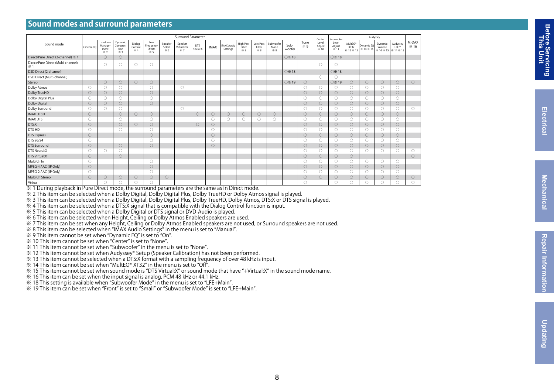#### **Sound modes and surround parameters**

|                                                  |            |                                    |                                   |                         |                                    |                         |                              | Surround Parameter     |             |                        |                           |                          |                         |                |                    | Center<br>Level<br>Adjust<br>※ 10 | Subwoofer               | Audyssey                    |                                                               |                                            |                  |               |
|--------------------------------------------------|------------|------------------------------------|-----------------------------------|-------------------------|------------------------------------|-------------------------|------------------------------|------------------------|-------------|------------------------|---------------------------|--------------------------|-------------------------|----------------|--------------------|-----------------------------------|-------------------------|-----------------------------|---------------------------------------------------------------|--------------------------------------------|------------------|---------------|
| Sound mode                                       | Cinema EO  | Loudness<br>Manage-<br>ment<br>※ 2 | Dynamic<br>Compres-<br>sion<br>※3 | Dialog<br>Control<br>※4 | Low<br>Frequency<br>Effects<br>※ 5 | Speaker<br>Select<br>※6 | Speaker<br>Virtualizer<br>※7 | <b>DTS</b><br>Neural:X | <b>IMAX</b> | IMAX Audio<br>Settings | High Pass<br>Filter<br>※8 | Low Pass<br>Filter<br>※8 | Subwoofer<br>Mode<br>※8 | Sub-<br>woofer | Tone<br>$\times$ 9 |                                   | Level<br>Adjust<br>※ 11 | MultEO <sup>®</sup><br>XT32 | Dynamic EQ<br>$\frac{1}{2}$ % 12 % 13 $\frac{1}{2}$ % 14 % 15 | Dynamic<br>Volume<br>※ 14 ※ 15   ※ 14 ※ 15 | Audyssey<br>LFC™ | M-DAX<br>※ 16 |
| Direct/Pure Direct (2-channel) ※ 1               |            | $\circ$                            | $\circ$                           |                         |                                    |                         |                              |                        |             |                        |                           |                          |                         | ○※18           |                    |                                   | ○ ※ 18                  |                             |                                                               |                                            |                  |               |
| Direct/Pure Direct (Multi-channel)<br>$\times 1$ |            | n                                  | O                                 | $\bigcirc$              | $\circ$                            |                         |                              |                        |             |                        |                           |                          |                         |                |                    | $\bigcirc$                        | ∩                       |                             |                                                               |                                            |                  |               |
| DSD Direct (2-channel)                           |            |                                    |                                   |                         |                                    |                         |                              |                        |             |                        |                           |                          |                         | ○ ※ 18         |                    |                                   | ○※18                    |                             |                                                               |                                            |                  |               |
| DSD Direct (Multi-channel)                       |            |                                    |                                   |                         |                                    |                         |                              |                        |             |                        |                           |                          |                         |                |                    | $\bigcirc$                        | O                       |                             |                                                               |                                            |                  |               |
| Stereo                                           |            | $\circ$                            | $\circ$                           | $\bigcirc$              | $\circ$                            |                         |                              |                        |             |                        |                           |                          |                         | ○※19           | $\circ$            |                                   | ○※19                    | $\circ$                     | $\circ$                                                       | $\circ$                                    | $\circ$          | $\circ$       |
| Dolby Atmos                                      | $\circ$    | 0                                  | $\bigcirc$                        |                         | $\bigcirc$                         |                         | $\bigcirc$                   |                        |             |                        |                           |                          |                         |                | $\bigcirc$         | $\bigcirc$                        | 0                       | $\bigcirc$                  | $\bigcirc$                                                    | $\bigcirc$                                 | 0                |               |
| Dolby TrueHD                                     | $\bigcirc$ | $\circ$                            | $\bigcirc$                        |                         | $\bigcirc$                         |                         |                              |                        |             |                        |                           |                          |                         |                | $\circ$            | $\circ$                           | $\circ$                 | $\bigcirc$                  | $\bigcirc$                                                    | $\circ$                                    | $\bigcirc$       |               |
| Dolby Digital Plus                               | $\circ$    | O                                  | $\bigcirc$                        |                         | $\bigcirc$                         |                         |                              |                        |             |                        |                           |                          |                         |                | $\bigcirc$         | 0                                 | $\circ$                 | $\bigcirc$                  | $\bigcirc$                                                    | $\circ$                                    | 0                |               |
| Dolby Digital                                    | $\circ$    | $\circ$                            | $\circ$                           |                         | $\bigcirc$                         |                         |                              |                        |             |                        |                           |                          |                         |                | $\circ$            | $\circ$                           | $\circ$                 | $\bigcirc$                  | $\circ$                                                       | $\circ$                                    | $\circ$          |               |
| Dolby Surround                                   | O          | O                                  | $\bigcirc$                        |                         |                                    |                         | Ω                            |                        |             |                        |                           |                          |                         |                | $\bigcirc$         | 0                                 | 0                       | $\bigcirc$                  | $\bigcirc$                                                    | $\bigcirc$                                 | $\bigcirc$       | 0             |
| <b>IMAX DTS:X</b>                                | $\circ$    |                                    | $\bigcirc$                        | $\bigcirc$              | $\circ$                            |                         |                              | $\circ$                | $\circ$     | $\circ$                | $\circ$                   | $\circ$                  | $\circ$                 |                | $\circ$            | $\circ$                           | $\circ$                 | $\circ$                     | $\circ$                                                       | $\circ$                                    | $\circ$          |               |
| <b>IMAX DTS</b>                                  | $\circ$    |                                    | $\bigcap$                         |                         | $\bigcirc$                         |                         |                              |                        | $\bigcirc$  | $\circ$                | 0                         | 0                        | $\bigcirc$              |                | $\circ$            | 0                                 | 0                       | $\bigcirc$                  | $\bigcirc$                                                    | $\circ$                                    | $\circ$          |               |
| DTS:X                                            | $\circ$    |                                    | $\circ$                           | $\bigcirc$              | $\circ$                            |                         |                              | $\bigcirc$             | $\bigcirc$  |                        |                           |                          |                         |                | $\circ$            | $\circ$                           | $\circ$                 | $\circ$                     | $\circ$                                                       | $\circ$                                    | $\circ$          |               |
| DTS-HD                                           | $\circ$    |                                    | $\bigcirc$                        |                         | $\bigcirc$                         |                         |                              |                        | $\bigcirc$  |                        |                           |                          |                         |                | $\bigcirc$         | $\bigcirc$                        | $\circ$                 | $\bigcirc$                  | $\bigcirc$                                                    | $\bigcirc$                                 | 0                |               |
| <b>DTS</b> Express                               | $\circ$    |                                    |                                   |                         | $\bigcirc$                         |                         |                              |                        | $\bigcirc$  |                        |                           |                          |                         |                | $\circ$            | $\circ$                           | $\circ$                 | $\circ$                     | $\circ$                                                       | $\circ$                                    | $\circ$          |               |
| DTS 96/24                                        | $\circ$    |                                    |                                   |                         | $\bigcirc$                         |                         |                              |                        | $\bigcirc$  |                        |                           |                          |                         |                | $\bigcirc$         | 0                                 | $\bigcirc$              | $\bigcirc$                  | $\bigcirc$                                                    | $\circ$                                    | $\circ$          |               |
| <b>DTS Surround</b>                              | $\bigcirc$ |                                    | $\bigcirc$                        |                         | $\bigcirc$                         |                         |                              |                        | $\bigcirc$  |                        |                           |                          |                         |                | $\circ$            | $\circ$                           | $\circ$                 | $\circ$                     | $\circ$                                                       | $\circ$                                    | $\bigcirc$       |               |
| <b>DTS Neural:X</b>                              | $\circ$    | O                                  | $\bigcap$                         |                         |                                    |                         |                              |                        |             |                        |                           |                          |                         |                | $\bigcirc$         | 0                                 | $\circ$                 | $\bigcirc$                  | $\bigcirc$                                                    | $\bigcirc$                                 | $\bigcirc$       | O             |
| DTS Virtual:X                                    | $\circ$    |                                    | $\bigcirc$                        |                         |                                    |                         |                              |                        |             |                        |                           |                          |                         |                | $\bigcirc$         | $\circ$                           | $\circ$                 | $\bigcirc$                  |                                                               |                                            |                  | $\circ$       |
| Multi Ch In                                      | $\bigcirc$ |                                    |                                   |                         | $\bigcirc$                         |                         |                              |                        |             |                        |                           |                          |                         |                | $\circ$            | 0                                 | 0                       | $\bigcirc$                  | $\bigcirc$                                                    | $\bigcirc$                                 | $\circ$          |               |
| MPEG-4 AAC (JP Only)                             | $\circ$    |                                    |                                   |                         | $\bigcirc$                         |                         |                              |                        |             |                        |                           |                          |                         |                | $\circ$            | $\circ$                           | $\circ$                 | $\circ$                     | $\circ$                                                       | $\circ$                                    | $\bigcirc$       |               |
| MPEG-2 AAC (JP Only)                             | $\circ$    |                                    |                                   |                         | $\circ$                            |                         |                              |                        |             |                        |                           |                          |                         |                | $\circ$            | Ο                                 | $\circ$                 | $\bigcirc$                  | $\bigcirc$                                                    | $\circ$                                    | O                |               |
| Multi Ch Stereo                                  | $\circ$    | $\circ$                            | $\circ$                           | $\bigcirc$              | $\circ$                            | $\circ$                 |                              |                        |             |                        |                           |                          |                         |                | $\circ$            | $\bigcirc$                        | $\circ$                 | $\circ$                     | $\circ$                                                       | $\circ$                                    | $\circ$          | $\circ$       |
| Virtual                                          |            | ∩                                  | $\bigcap$                         | ∩                       | $\bigcirc$                         |                         |                              |                        |             |                        |                           |                          |                         |                | $\bigcirc$         |                                   | O                       | 0                           | $\bigcirc$                                                    | $\bigcirc$                                 | 0                | ∩             |

※ 1 During playback in Pure Direct mode, the surround parameters are the same as in Direct mode.

※ 2 This item can be selected when a Dolby Digital, Dolby Digital Plus, Dolby TrueHD or Dolby Atmos signal is played.

※ 3 This item can be selected when a Dolby Digital, Dolby Digital Plus, Dolby TrueHD, Dolby Atmos, DTS:X or DTS signal is played.

※ 4 This item can be selected when a DTS:X signal that is compatible with the Dialog Control function is input.

※ 5 This item can be selected when a Dolby Digital or DTS signal or DVD-Audio is played.

※ 6 This item can be selected when Height, Ceiling or Dolby Atmos Enabled speakers are used.

※ 7 This item can be set when any Height, Ceiling or Dolby Atmos Enabled speakers are not used, or Surround speakers are not used.

※ 8 This item can be selected when "IMAX Audio Settings" in the menu is set to "Manual".

※ 9 This item cannot be set when "Dynamic EQ" is set to "On".

※ 10 This item cannot be set when "Center" is set to "None".

※ 11 This item cannot be set when "Subwoofer" in the menu is set to "None".

※ 12 This item cannot be set when Audyssey® Setup (Speaker Calibration) has not been performed.

※ 13 This item cannot be selected when a DTS:X format with a sampling frequency of over 48 kHz is input.

※ 14 This item cannot be set when "MultEQ® XT32" in the menu is set to "Off".

※ 15 This item cannot be set when sound mode is "DTS Virtual:X" or sound mode that have "+Virtual:X" in the sound mode name.

※ 16 This item can be set when the input signal is analog, PCM 48 kHz or 44.1 kHz.

※ 18 This setting is available when "Subwoofer Mode" in the menu is set to "LFE+Main".

※ 19 This item can be set when "Front" is set to "Small" or "Subwoofer Mode" is set to "LFE+Main".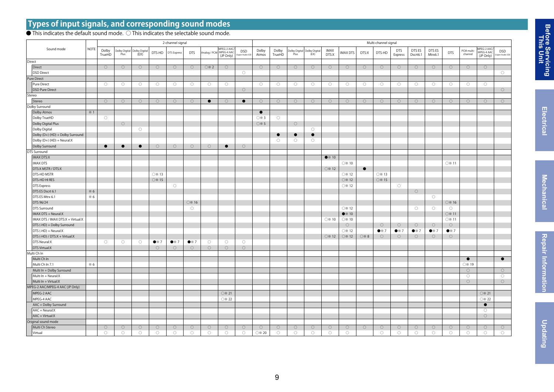#### **Types of input signals, and corresponding sound modes**

#### $\bullet$  This indicates the default sound mode.  $\bigcirc$  This indicates the selectable sound mode.

|                                   |            |                     | 2-channel signal    |                                     |                      |                      |                      |                        |                                       |                            | Multi-channel signal   |                     |                       |                      |                      |                         |                     |                      |                       |                      |                      |                      |                       |                                        |                              |
|-----------------------------------|------------|---------------------|---------------------|-------------------------------------|----------------------|----------------------|----------------------|------------------------|---------------------------------------|----------------------------|------------------------|---------------------|-----------------------|----------------------|----------------------|-------------------------|---------------------|----------------------|-----------------------|----------------------|----------------------|----------------------|-----------------------|----------------------------------------|------------------------------|
| Sound mode                        | NOTE       | Dolby<br>TrueHD     | Plus                | Dolby Digital Dolby Digital<br>(EX) | DTS-HD               | <b>DTS Express</b>   | <b>DTS</b>           | Analog / PCN           | MPEG-2 AAC<br>MPEG-4 AAC<br>(JP Only) | <b>DSD</b><br>per Audio CD | Dolby<br>Atmos         | Dolby<br>TrueHD     | Dolby Digital<br>Plus | Dolby Digita<br>(EX) | <b>IMAX</b><br>DTS:X | MAX DTS                 | DTS:X               | DTS-HD               | <b>DTS</b><br>Express | DTS ES<br>Dscrt6.1   | DTS ES<br>Mtrx6.1    | <b>DTS</b>           | PCM multi-<br>channel | MPEG-2 AAC/<br>MPEG-4 AAC<br>(JP Only) | <b>DSD</b><br>uper Audio CD) |
| Direct                            |            |                     |                     |                                     |                      |                      |                      |                        |                                       |                            |                        |                     |                       |                      |                      |                         |                     |                      |                       |                      |                      |                      |                       |                                        |                              |
| Direct                            |            | $\circlearrowright$ | $\circlearrowright$ | $\circ$                             | $\circlearrowright$  | $\circlearrowright$  | $\circlearrowright$  | $\bigcirc\mathbb{X}$ 2 | $\circ$                               |                            | $\circlearrowright$    | $\circlearrowright$ | $\circlearrowright$   | $\circlearrowright$  | $\circ$              | $\circlearrowright$     | $\circlearrowright$ | $\circlearrowright$  | $\bigcirc$            | $\circ$              | $\circlearrowright$  | $\circlearrowright$  | $\circ$               | $\circlearrowright$                    |                              |
| DSD Direct                        |            |                     |                     |                                     |                      |                      |                      |                        |                                       | $\circ$                    |                        |                     |                       |                      |                      |                         |                     |                      |                       |                      |                      |                      |                       |                                        | $\circlearrowright$          |
| Pure Direct                       |            |                     |                     |                                     |                      |                      |                      |                        |                                       |                            |                        |                     |                       |                      |                      |                         |                     |                      |                       |                      |                      |                      |                       |                                        |                              |
| Pure Direct                       |            | $\circlearrowright$ | $\circlearrowright$ | $\circlearrowright$                 | $\circ$              | $\circlearrowright$  | $\circ$              | $\circlearrowright$    | $\circ$                               |                            | $\circlearrowright$    | $\circ$             | $\circlearrowright$   | $\circlearrowright$  | $\circlearrowright$  | $\circlearrowright$     | $\circlearrowright$ | $\circlearrowright$  | $\circlearrowright$   | $\circ$              | $\circlearrowright$  | $\circ$              | $\circ$               | $\circlearrowright$                    |                              |
| DSD Pure Direct                   |            |                     |                     |                                     |                      |                      |                      |                        |                                       | $\circlearrowright$        |                        |                     |                       |                      |                      |                         |                     |                      |                       |                      |                      |                      |                       |                                        | $\circlearrowright$          |
| Stereo                            |            |                     |                     |                                     |                      |                      |                      |                        |                                       |                            |                        |                     |                       |                      |                      |                         |                     |                      |                       |                      |                      |                      |                       |                                        |                              |
| Stereo                            |            | $\circ$             | $\circ$             | $\circ$                             | $\circ$              | $\circ$              | $\circ$              | $\bullet$              | $\circ$                               | $\bullet$                  | $\circlearrowright$    | $\circlearrowright$ | $\circ$               | $\circ$              | $\circ$              | $\circ$                 | $\circ$             | $\circ$              | $\circ$               | $\circ$              | $\circlearrowright$  | $\circlearrowright$  | $\circ$               | $\circlearrowright$                    | $\circlearrowright$          |
| Dolby Surround                    |            |                     |                     |                                     |                      |                      |                      |                        |                                       |                            |                        |                     |                       |                      |                      |                         |                     |                      |                       |                      |                      |                      |                       |                                        |                              |
| Dolby Atmos                       | $\times 1$ |                     |                     |                                     |                      |                      |                      |                        |                                       |                            | $\bullet$              |                     |                       |                      |                      |                         |                     |                      |                       |                      |                      |                      |                       |                                        |                              |
| Dolby TrueHD                      |            | $\circ$             |                     |                                     |                      |                      |                      |                        |                                       |                            | $\bigcirc\mathbb{X}$ 3 | $\circ$             |                       |                      |                      |                         |                     |                      |                       |                      |                      |                      |                       |                                        |                              |
| Dolby Digital Plus                |            |                     | $\circlearrowright$ |                                     |                      |                      |                      |                        |                                       |                            | ○※5                    |                     | $\circlearrowright$   |                      |                      |                         |                     |                      |                       |                      |                      |                      |                       |                                        |                              |
| Dolby Digital                     |            |                     |                     | $\circ$                             |                      |                      |                      |                        |                                       |                            |                        |                     |                       | $\circ$              |                      |                         |                     |                      |                       |                      |                      |                      |                       |                                        |                              |
| Dolby (D+) (HD) + Dolby Surround  |            |                     |                     |                                     |                      |                      |                      |                        |                                       |                            |                        | $\bullet$           | $\bullet$             | $\bullet$            |                      |                         |                     |                      |                       |                      |                      |                      |                       |                                        |                              |
| Dolby (D+) (HD) + Neural:X        |            |                     |                     |                                     |                      |                      |                      |                        |                                       |                            |                        | $\circ$             | $\circ$               | $\circ$              |                      |                         |                     |                      |                       |                      |                      |                      |                       |                                        |                              |
| Dolby Surround                    |            | $\bullet$           | $\bullet$           | $\bullet$                           | $\circlearrowright$  | $\circlearrowright$  | $\circlearrowright$  | $\bigcirc$             | $\bullet$                             | $\circlearrowright$        |                        |                     |                       |                      |                      |                         |                     |                      |                       |                      |                      |                      |                       |                                        |                              |
| DTS Surround                      |            |                     |                     |                                     |                      |                      |                      |                        |                                       |                            |                        |                     |                       |                      |                      |                         |                     |                      |                       |                      |                      |                      |                       |                                        |                              |
| <b>IMAX DTS:X</b>                 |            |                     |                     |                                     |                      |                      |                      |                        |                                       |                            |                        |                     |                       |                      | $\bullet \times 10$  |                         |                     |                      |                       |                      |                      |                      |                       |                                        |                              |
| <b>IMAX DTS</b>                   |            |                     |                     |                                     |                      |                      |                      |                        |                                       |                            |                        |                     |                       |                      |                      | ○ ※ 10                  |                     |                      |                       |                      |                      | ○※11                 |                       |                                        |                              |
| DTS:X MSTR / DTS:X                |            |                     |                     |                                     |                      |                      |                      |                        |                                       |                            |                        |                     |                       |                      | ○ ※ 12               |                         | $\bullet$           |                      |                       |                      |                      |                      |                       |                                        |                              |
| <b>DTS-HD MSTR</b>                |            |                     |                     |                                     | ○ ※ 13               |                      |                      |                        |                                       |                            |                        |                     |                       |                      |                      | $\bigcirc\mathbb{X}$ 12 |                     | ○ ※ 13               |                       |                      |                      |                      |                       |                                        |                              |
| <b>DTS-HD HI RES</b>              |            |                     |                     |                                     | ○※15                 |                      |                      |                        |                                       |                            |                        |                     |                       |                      |                      | ○ ※ 12                  |                     | ○※15                 |                       |                      |                      |                      |                       |                                        |                              |
| <b>DTS</b> Express                |            |                     |                     |                                     |                      | $\circlearrowright$  |                      |                        |                                       |                            |                        |                     |                       |                      |                      | ○ ※ 12                  |                     |                      | $\circlearrowright$   |                      |                      |                      |                       |                                        |                              |
| DTS ES Dscrt 6.1                  | $\times 6$ |                     |                     |                                     |                      |                      |                      |                        |                                       |                            |                        |                     |                       |                      |                      |                         |                     |                      |                       | $\circ$              |                      |                      |                       |                                        |                              |
| DTS ES Mtrx 6.1                   | $*6$       |                     |                     |                                     |                      |                      |                      |                        |                                       |                            |                        |                     |                       |                      |                      |                         |                     |                      |                       |                      | $\circ$              |                      |                       |                                        |                              |
| DTS 96/24                         |            |                     |                     |                                     |                      |                      | ○※16                 |                        |                                       |                            |                        |                     |                       |                      |                      |                         |                     |                      |                       |                      |                      | ○ ※ 16               |                       |                                        |                              |
| DTS Surround                      |            |                     |                     |                                     |                      |                      | $\circ$              |                        |                                       |                            |                        |                     |                       |                      |                      | $\bigcirc\mathbb{X}$ 12 |                     |                      |                       | $\circ$              | $\circ$              | $\circlearrowright$  |                       |                                        |                              |
| IMAX DTS + Neural:X               |            |                     |                     |                                     |                      |                      |                      |                        |                                       |                            |                        |                     |                       |                      |                      | $\bullet \times 10$     |                     |                      |                       |                      |                      | ○ ※ 11               |                       |                                        |                              |
| IMAX DTS / IMAX DTS:X + Virtual:X |            |                     |                     |                                     |                      |                      |                      |                        |                                       |                            |                        |                     |                       |                      | ○ ※ 10               | $\circ$ 10              |                     |                      |                       |                      |                      | $\circ$ 11           |                       |                                        |                              |
| DTS (-HD) + Dolby Surround        |            |                     |                     |                                     |                      |                      |                      |                        |                                       |                            |                        |                     |                       |                      |                      | $\circlearrowright$     |                     | $\circlearrowright$  | $\bigcirc$            | $\circ$              | $\circlearrowright$  | $\circlearrowright$  |                       |                                        |                              |
| DTS (-HD) + Neural:X              |            |                     |                     |                                     |                      |                      |                      |                        |                                       |                            |                        |                     |                       |                      |                      | ○※12                    |                     | $\bullet$ $\times$ 7 | $\bullet$ $\times$ 7  | $\bullet$ $\times$ 7 | $\bullet$ $\times$ 7 | $\bullet$ $\times$ 7 |                       |                                        |                              |
| DTS (-HD) / DTS:X + Virtual:X     |            |                     |                     |                                     |                      |                      |                      |                        |                                       |                            |                        |                     |                       |                      | ○※12                 | ○ ※ 12                  | ○ ※ 8               | $\circlearrowright$  | $\bigcirc$            | $\circlearrowright$  | $\bigcirc$           | $\bigcirc$           |                       |                                        |                              |
| DTS Neural:X                      |            | $\circlearrowright$ | $\circ$             | $\circ$                             | $\bullet$ $\times$ 7 | $\bullet$ $\times$ 7 | $\bullet$ $\times$ 7 | $\circlearrowright$    | $\circ$                               | $\circlearrowright$        |                        |                     |                       |                      |                      |                         |                     |                      |                       |                      |                      |                      |                       |                                        |                              |
| <b>DTS Virtual:X</b>              |            |                     |                     |                                     | $\circ$              | $\circ$              | $\circ$              | $\circlearrowright$    | $\circ$                               | $\circlearrowright$        |                        |                     |                       |                      |                      |                         |                     |                      |                       |                      |                      |                      |                       |                                        |                              |
| Multi Ch In                       |            |                     |                     |                                     |                      |                      |                      |                        |                                       |                            |                        |                     |                       |                      |                      |                         |                     |                      |                       |                      |                      |                      |                       |                                        |                              |
| Multi Ch In                       |            |                     |                     |                                     |                      |                      |                      |                        |                                       |                            |                        |                     |                       |                      |                      |                         |                     |                      |                       |                      |                      |                      | $\bullet$             |                                        | $\bullet$                    |
| Multi Ch In 7.1                   | $\times 6$ |                     |                     |                                     |                      |                      |                      |                        |                                       |                            |                        |                     |                       |                      |                      |                         |                     |                      |                       |                      |                      |                      | ○※19                  |                                        |                              |
| Multi In + Dolby Surround         |            |                     |                     |                                     |                      |                      |                      |                        |                                       |                            |                        |                     |                       |                      |                      |                         |                     |                      |                       |                      |                      |                      | $\circlearrowright$   |                                        | $\circlearrowright$          |
| Multi In + Neural:X               |            |                     |                     |                                     |                      |                      |                      |                        |                                       |                            |                        |                     |                       |                      |                      |                         |                     |                      |                       |                      |                      |                      | $\circlearrowright$   |                                        | $\circlearrowright$          |
| Multi In + Virtual:X              |            |                     |                     |                                     |                      |                      |                      |                        |                                       |                            |                        |                     |                       |                      |                      |                         |                     |                      |                       |                      |                      |                      | $\circlearrowright$   |                                        | $\circlearrowright$          |
| MPEG-2 AAC/MPEG-4 AAC (JP Only)   |            |                     |                     |                                     |                      |                      |                      |                        |                                       |                            |                        |                     |                       |                      |                      |                         |                     |                      |                       |                      |                      |                      |                       |                                        |                              |
| MPEG-2 AAC                        |            |                     |                     |                                     |                      |                      |                      |                        | ○ ※ 21                                |                            |                        |                     |                       |                      |                      |                         |                     |                      |                       |                      |                      |                      |                       | ○ ※ 21                                 |                              |
| MPEG-4 AAC                        |            |                     |                     |                                     |                      |                      |                      |                        | ○※ 22                                 |                            |                        |                     |                       |                      |                      |                         |                     |                      |                       |                      |                      |                      |                       | ○※ 22                                  |                              |
| AAC + Dolby Surround              |            |                     |                     |                                     |                      |                      |                      |                        |                                       |                            |                        |                     |                       |                      |                      |                         |                     |                      |                       |                      |                      |                      |                       | $\bullet$                              |                              |
| $AAC + Neural:X$                  |            |                     |                     |                                     |                      |                      |                      |                        |                                       |                            |                        |                     |                       |                      |                      |                         |                     |                      |                       |                      |                      |                      |                       | $\circ$                                |                              |
| $AAC + Virtual:X$                 |            |                     |                     |                                     |                      |                      |                      |                        |                                       |                            |                        |                     |                       |                      |                      |                         |                     |                      |                       |                      |                      |                      |                       | $\circlearrowright$                    |                              |
| Original sound mode               |            |                     |                     |                                     |                      |                      |                      |                        |                                       |                            |                        |                     |                       |                      |                      |                         |                     |                      |                       |                      |                      |                      |                       |                                        |                              |
| Multi Ch Stereo                   |            | $\circlearrowright$ | $\circlearrowright$ | $\bigcirc$                          | $\circlearrowright$  | $\bigcirc$           | $\circlearrowright$  | $\bigcirc$             | $\circlearrowright$                   | $\bigcirc$                 | $\circlearrowright$    | $\bigcirc$          | $\bigcirc$            | $\circlearrowright$  | $\bigcirc$           | $\circlearrowright$     | $\circlearrowright$ | $\bigcirc$           | $\bigcirc$            | $\circlearrowright$  | $\bigcirc$           | $\bigcirc$           | $\bigcirc$            | $\circlearrowright$                    | $\circlearrowright$          |
| Virtual                           |            | $\circ$             | $\circ$             | $\bigcirc$                          | $\circlearrowright$  | $\circ$              | $\circ$              | $\circ$                | $\circ$                               | $\bigcirc$                 | ○※ 20                  | $\bigcirc$          | $\circ$               | $\circ$              | $\bigcirc$           | $\circ$                 |                     | $\circlearrowright$  | $\bigcirc$            | $\circ$              | $\circ$              | $\circlearrowright$  | $\circlearrowright$   | $\bigcirc$                             | $\circlearrowright$          |

**Before Servicing**<br>This Unit  **Before Servicing**